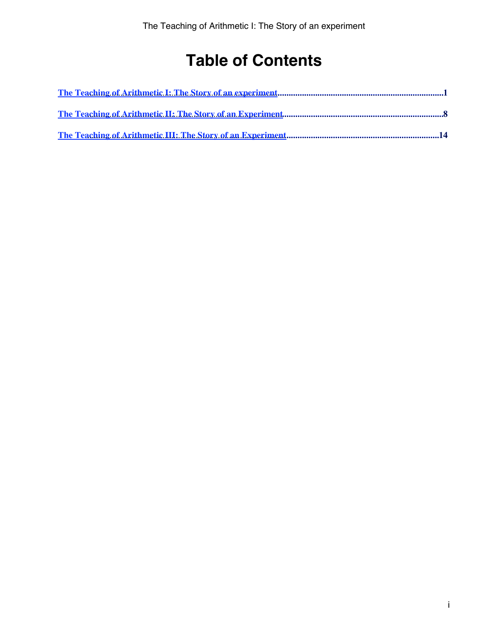# **Table of Contents**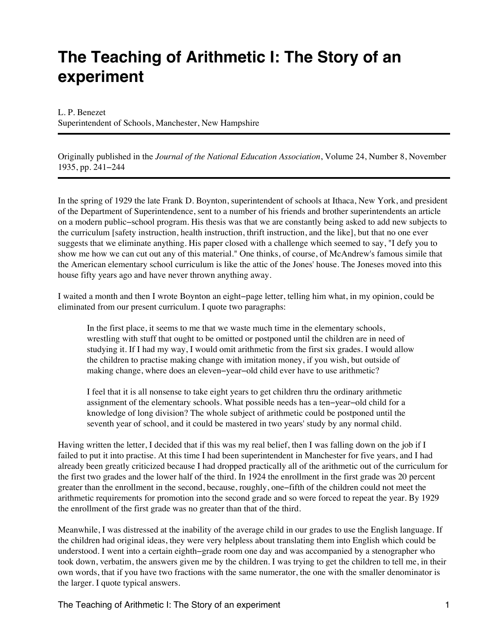#### <span id="page-1-0"></span>L. P. Benezet Superintendent of Schools, Manchester, New Hampshire

Originally published in the *Journal of the National Education Association*, Volume 24, Number 8, November 1935, pp. 241−244

In the spring of 1929 the late Frank D. Boynton, superintendent of schools at Ithaca, New York, and president of the Department of Superintendence, sent to a number of his friends and brother superintendents an article on a modern public−school program. His thesis was that we are constantly being asked to add new subjects to the curriculum [safety instruction, health instruction, thrift instruction, and the like], but that no one ever suggests that we eliminate anything. His paper closed with a challenge which seemed to say, "I defy you to show me how we can cut out any of this material." One thinks, of course, of McAndrew's famous simile that the American elementary school curriculum is like the attic of the Jones' house. The Joneses moved into this house fifty years ago and have never thrown anything away.

I waited a month and then I wrote Boynton an eight−page letter, telling him what, in my opinion, could be eliminated from our present curriculum. I quote two paragraphs:

In the first place, it seems to me that we waste much time in the elementary schools, wrestling with stuff that ought to be omitted or postponed until the children are in need of studying it. If I had my way, I would omit arithmetic from the first six grades. I would allow the children to practise making change with imitation money, if you wish, but outside of making change, where does an eleven−year−old child ever have to use arithmetic?

I feel that it is all nonsense to take eight years to get children thru the ordinary arithmetic assignment of the elementary schools. What possible needs has a ten−year−old child for a knowledge of long division? The whole subject of arithmetic could be postponed until the seventh year of school, and it could be mastered in two years' study by any normal child.

Having written the letter, I decided that if this was my real belief, then I was falling down on the job if I failed to put it into practise. At this time I had been superintendent in Manchester for five years, and I had already been greatly criticized because I had dropped practically all of the arithmetic out of the curriculum for the first two grades and the lower half of the third. In 1924 the enrollment in the first grade was 20 percent greater than the enrollment in the second, because, roughly, one−fifth of the children could not meet the arithmetic requirements for promotion into the second grade and so were forced to repeat the year. By 1929 the enrollment of the first grade was no greater than that of the third.

Meanwhile, I was distressed at the inability of the average child in our grades to use the English language. If the children had original ideas, they were very helpless about translating them into English which could be understood. I went into a certain eighth−grade room one day and was accompanied by a stenographer who took down, verbatim, the answers given me by the children. I was trying to get the children to tell me, in their own words, that if you have two fractions with the same numerator, the one with the smaller denominator is the larger. I quote typical answers.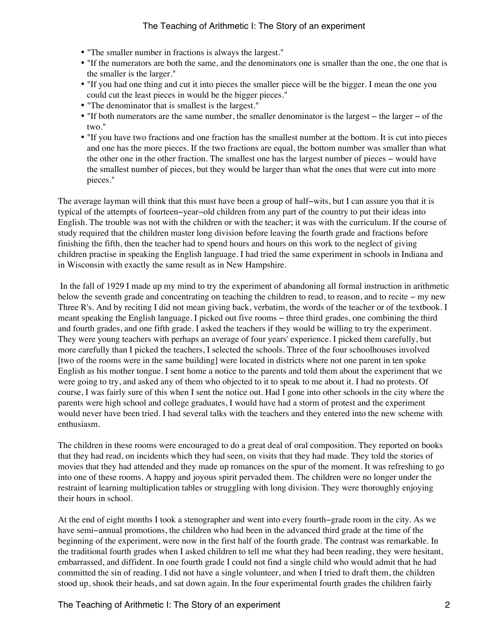- "The smaller number in fractions is always the largest."
- "If the numerators are both the same, and the denominators one is smaller than the one, the one that is the smaller is the larger."
- <span id="page-2-0"></span>• "If you had one thing and cut it into pieces the smaller piece will be the bigger. I mean the one you could cut the least pieces in would be the bigger pieces."
- "The denominator that is smallest is the largest."
- "If both numerators are the same number, the smaller denominator is the largest − the larger − of the two."
- "If you have two fractions and one fraction has the smallest number at the bottom. It is cut into pieces and one has the more pieces. If the two fractions are equal, the bottom number was smaller than what the other one in the other fraction. The smallest one has the largest number of pieces − would have the smallest number of pieces, but they would be larger than what the ones that were cut into more pieces."

The average layman will think that this must have been a group of half−wits, but I can assure you that it is typical of the attempts of fourteen−year−old children from any part of the country to put their ideas into English. The trouble was not with the children or with the teacher; it was with the curriculum. If the course of study required that the children master long division before leaving the fourth grade and fractions before finishing the fifth, then the teacher had to spend hours and hours on this work to the neglect of giving children practise in speaking the English language. I had tried the same experiment in schools in Indiana and in Wisconsin with exactly the same result as in New Hampshire.

 In the fall of 1929 I made up my mind to try the experiment of abandoning all formal instruction in arithmetic below the seventh grade and concentrating on teaching the children to read, to reason, and to recite − my new Three R's. And by reciting I did not mean giving back, verbatim, the words of the teacher or of the textbook. I meant speaking the English language. I picked out five rooms – three third grades, one combining the third and fourth grades, and one fifth grade. I asked the teachers if they would be willing to try the experiment. They were young teachers with perhaps an average of four years' experience. I picked them carefully, but more carefully than I picked the teachers, I selected the schools. Three of the four schoolhouses involved [two of the rooms were in the same building] were located in districts where not one parent in ten spoke English as his mother tongue. I sent home a notice to the parents and told them about the experiment that we were going to try, and asked any of them who objected to it to speak to me about it. I had no protests. Of course, I was fairly sure of this when I sent the notice out. Had I gone into other schools in the city where the parents were high school and college graduates, I would have had a storm of protest and the experiment would never have been tried. I had several talks with the teachers and they entered into the new scheme with enthusiasm.

The children in these rooms were encouraged to do a great deal of oral composition. They reported on books that they had read, on incidents which they had seen, on visits that they had made. They told the stories of movies that they had attended and they made up romances on the spur of the moment. It was refreshing to go into one of these rooms. A happy and joyous spirit pervaded them. The children were no longer under the restraint of learning multiplication tables or struggling with long division. They were thoroughly enjoying their hours in school.

At the end of eight months I took a stenographer and went into every fourth−grade room in the city. As we have semi−annual promotions, the children who had been in the advanced third grade at the time of the beginning of the experiment, were now in the first half of the fourth grade. The contrast was remarkable. In the traditional fourth grades when I asked children to tell me what they had been reading, they were hesitant, embarrassed, and diffident. In one fourth grade I could not find a single child who would admit that he had committed the sin of reading. I did not have a single volunteer, and when I tried to draft them, the children stood up, shook their heads, and sat down again. In the four experimental fourth grades the children fairly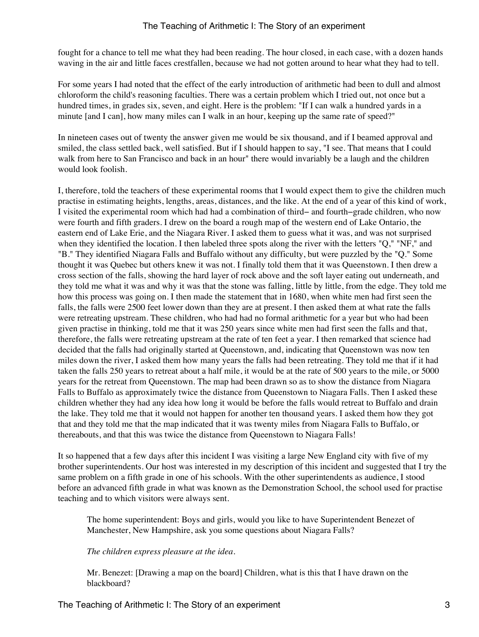fought for a chance to tell me what they had been reading. The hour closed, in each case, with a dozen hands waving in the air and little faces crestfallen, because we had not gotten around to hear what they had to tell.

For some years I had noted that the effect of the early introduction of arithmetic had been to dull and almost chloroform the child's reasoning faculties. There was a certain problem which I tried out, not once but a hundred times, in grades six, seven, and eight. Here is the problem: "If I can walk a hundred yards in a minute [and I can], how many miles can I walk in an hour, keeping up the same rate of speed?"

In nineteen cases out of twenty the answer given me would be six thousand, and if I beamed approval and smiled, the class settled back, well satisfied. But if I should happen to say, "I see. That means that I could walk from here to San Francisco and back in an hour" there would invariably be a laugh and the children would look foolish.

I, therefore, told the teachers of these experimental rooms that I would expect them to give the children much practise in estimating heights, lengths, areas, distances, and the like. At the end of a year of this kind of work, I visited the experimental room which had had a combination of third− and fourth−grade children, who now were fourth and fifth graders. I drew on the board a rough map of the western end of Lake Ontario, the eastern end of Lake Erie, and the Niagara River. I asked them to guess what it was, and was not surprised when they identified the location. I then labeled three spots along the river with the letters "Q," "NF," and "B." They identified Niagara Falls and Buffalo without any difficulty, but were puzzled by the "Q." Some thought it was Quebec but others knew it was not. I finally told them that it was Queenstown. I then drew a cross section of the falls, showing the hard layer of rock above and the soft layer eating out underneath, and they told me what it was and why it was that the stone was falling, little by little, from the edge. They told me how this process was going on. I then made the statement that in 1680, when white men had first seen the falls, the falls were 2500 feet lower down than they are at present. I then asked them at what rate the falls were retreating upstream. These children, who had had no formal arithmetic for a year but who had been given practise in thinking, told me that it was 250 years since white men had first seen the falls and that, therefore, the falls were retreating upstream at the rate of ten feet a year. I then remarked that science had decided that the falls had originally started at Queenstown, and, indicating that Queenstown was now ten miles down the river, I asked them how many years the falls had been retreating. They told me that if it had taken the falls 250 years to retreat about a half mile, it would be at the rate of 500 years to the mile, or 5000 years for the retreat from Queenstown. The map had been drawn so as to show the distance from Niagara Falls to Buffalo as approximately twice the distance from Queenstown to Niagara Falls. Then I asked these children whether they had any idea how long it would be before the falls would retreat to Buffalo and drain the lake. They told me that it would not happen for another ten thousand years. I asked them how they got that and they told me that the map indicated that it was twenty miles from Niagara Falls to Buffalo, or thereabouts, and that this was twice the distance from Queenstown to Niagara Falls!

It so happened that a few days after this incident I was visiting a large New England city with five of my brother superintendents. Our host was interested in my description of this incident and suggested that I try the same problem on a fifth grade in one of his schools. With the other superintendents as audience, I stood before an advanced fifth grade in what was known as the Demonstration School, the school used for practise teaching and to which visitors were always sent.

The home superintendent: Boys and girls, would you like to have Superintendent Benezet of Manchester, New Hampshire, ask you some questions about Niagara Falls?

#### *The children express pleasure at the idea.*

Mr. Benezet: [Drawing a map on the board] Children, what is this that I have drawn on the blackboard?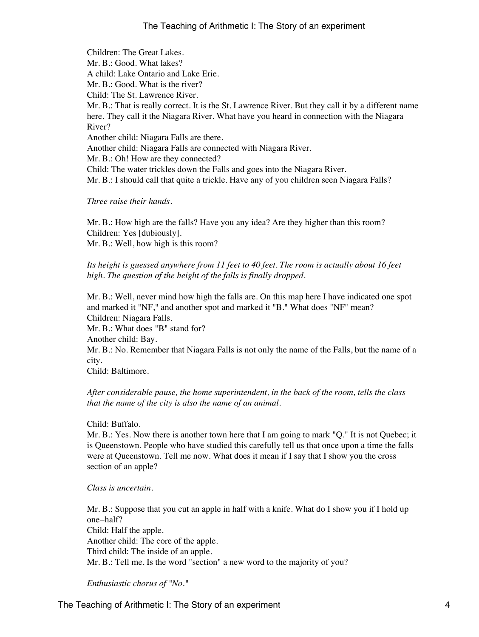Children: The Great Lakes. Mr. B.: Good. What lakes? A child: Lake Ontario and Lake Erie. Mr. B.: Good. What is the river? Child: The St. Lawrence River. Mr. B.: That is really correct. It is the St. Lawrence River. But they call it by a different name here. They call it the Niagara River. What have you heard in connection with the Niagara River? Another child: Niagara Falls are there. Another child: Niagara Falls are connected with Niagara River. Mr. B.: Oh! How are they connected? Child: The water trickles down the Falls and goes into the Niagara River. Mr. B.: I should call that quite a trickle. Have any of you children seen Niagara Falls?

*Three raise their hands.*

Mr. B.: How high are the falls? Have you any idea? Are they higher than this room? Children: Yes [dubiously]. Mr. B.: Well, how high is this room?

*Its height is guessed anywhere from 11 feet to 40 feet. The room is actually about 16 feet high. The question of the height of the falls is finally dropped.*

Mr. B.: Well, never mind how high the falls are. On this map here I have indicated one spot and marked it "NF," and another spot and marked it "B." What does "NF" mean? Children: Niagara Falls.

Mr. B.: What does "B" stand for?

Another child: Bay.

Mr. B.: No. Remember that Niagara Falls is not only the name of the Falls, but the name of a city.

Child: Baltimore.

*After considerable pause, the home superintendent, in the back of the room, tells the class that the name of the city is also the name of an animal.*

Child: Buffalo.

Mr. B.: Yes. Now there is another town here that I am going to mark "Q." It is not Quebec; it is Queenstown. People who have studied this carefully tell us that once upon a time the falls were at Queenstown. Tell me now. What does it mean if I say that I show you the cross section of an apple?

#### *Class is uncertain.*

Mr. B.: Suppose that you cut an apple in half with a knife. What do I show you if I hold up one−half? Child: Half the apple. Another child: The core of the apple. Third child: The inside of an apple. Mr. B.: Tell me. Is the word "section" a new word to the majority of you?

*Enthusiastic chorus of "No."*

The Teaching of Arithmetic I: The Story of an experiment 4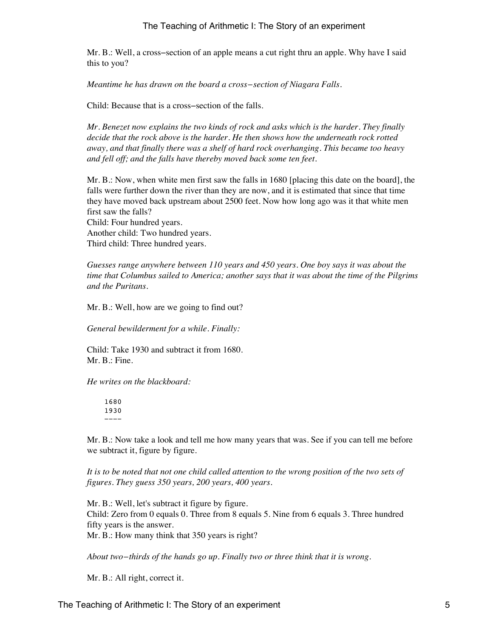Mr. B.: Well, a cross−section of an apple means a cut right thru an apple. Why have I said this to you?

*Meantime he has drawn on the board a cross−section of Niagara Falls.*

Child: Because that is a cross−section of the falls.

*Mr. Benezet now explains the two kinds of rock and asks which is the harder. They finally decide that the rock above is the harder. He then shows how the underneath rock rotted away, and that finally there was a shelf of hard rock overhanging. This became too heavy and fell off; and the falls have thereby moved back some ten feet.*

Mr. B.: Now, when white men first saw the falls in 1680 [placing this date on the board], the falls were further down the river than they are now, and it is estimated that since that time they have moved back upstream about 2500 feet. Now how long ago was it that white men first saw the falls? Child: Four hundred years. Another child: Two hundred years.

Third child: Three hundred years.

*Guesses range anywhere between 110 years and 450 years. One boy says it was about the time that Columbus sailed to America; another says that it was about the time of the Pilgrims and the Puritans.*

Mr. B.: Well, how are we going to find out?

*General bewilderment for a while. Finally:*

Child: Take 1930 and subtract it from 1680. Mr. B.: Fine.

*He writes on the blackboard:*

 1680 1930 −−−−

Mr. B.: Now take a look and tell me how many years that was. See if you can tell me before we subtract it, figure by figure.

*It is to be noted that not one child called attention to the wrong position of the two sets of figures. They guess 350 years, 200 years, 400 years.*

Mr. B.: Well, let's subtract it figure by figure. Child: Zero from 0 equals 0. Three from 8 equals 5. Nine from 6 equals 3. Three hundred fifty years is the answer. Mr. B.: How many think that 350 years is right?

*About two−thirds of the hands go up. Finally two or three think that it is wrong.*

Mr. B.: All right, correct it.

The Teaching of Arithmetic I: The Story of an experiment  $\sim$  5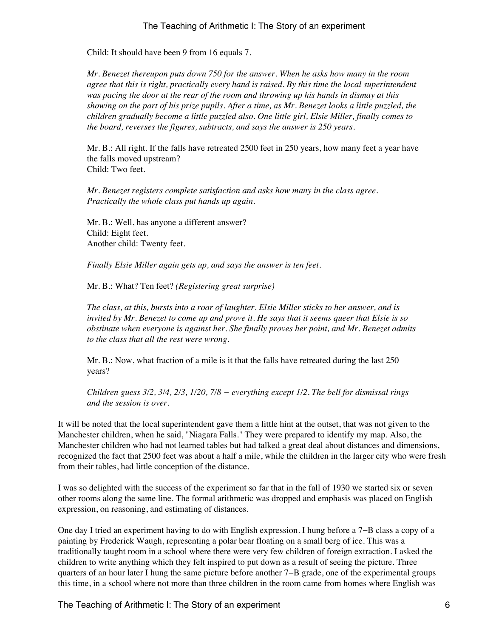Child: It should have been 9 from 16 equals 7.

*Mr. Benezet thereupon puts down 750 for the answer. When he asks how many in the room agree that this is right, practically every hand is raised. By this time the local superintendent was pacing the door at the rear of the room and throwing up his hands in dismay at this showing on the part of his prize pupils. After a time, as Mr. Benezet looks a little puzzled, the children gradually become a little puzzled also. One little girl, Elsie Miller, finally comes to the board, reverses the figures, subtracts, and says the answer is 250 years.*

Mr. B.: All right. If the falls have retreated 2500 feet in 250 years, how many feet a year have the falls moved upstream? Child: Two feet.

*Mr. Benezet registers complete satisfaction and asks how many in the class agree. Practically the whole class put hands up again.*

Mr. B.: Well, has anyone a different answer? Child: Eight feet. Another child: Twenty feet.

*Finally Elsie Miller again gets up, and says the answer is ten feet.*

Mr. B.: What? Ten feet? *(Registering great surprise)*

*The class, at this, bursts into a roar of laughter. Elsie Miller sticks to her answer, and is invited by Mr. Benezet to come up and prove it. He says that it seems queer that Elsie is so obstinate when everyone is against her. She finally proves her point, and Mr. Benezet admits to the class that all the rest were wrong.*

Mr. B.: Now, what fraction of a mile is it that the falls have retreated during the last 250 years?

*Children guess 3/2, 3/4, 2/3, 1/20, 7/8 − everything except 1/2. The bell for dismissal rings and the session is over.*

It will be noted that the local superintendent gave them a little hint at the outset, that was not given to the Manchester children, when he said, "Niagara Falls." They were prepared to identify my map. Also, the Manchester children who had not learned tables but had talked a great deal about distances and dimensions, recognized the fact that 2500 feet was about a half a mile, while the children in the larger city who were fresh from their tables, had little conception of the distance.

I was so delighted with the success of the experiment so far that in the fall of 1930 we started six or seven other rooms along the same line. The formal arithmetic was dropped and emphasis was placed on English expression, on reasoning, and estimating of distances.

One day I tried an experiment having to do with English expression. I hung before a 7−B class a copy of a painting by Frederick Waugh, representing a polar bear floating on a small berg of ice. This was a traditionally taught room in a school where there were very few children of foreign extraction. I asked the children to write anything which they felt inspired to put down as a result of seeing the picture. Three quarters of an hour later I hung the same picture before another 7−B grade, one of the experimental groups this time, in a school where not more than three children in the room came from homes where English was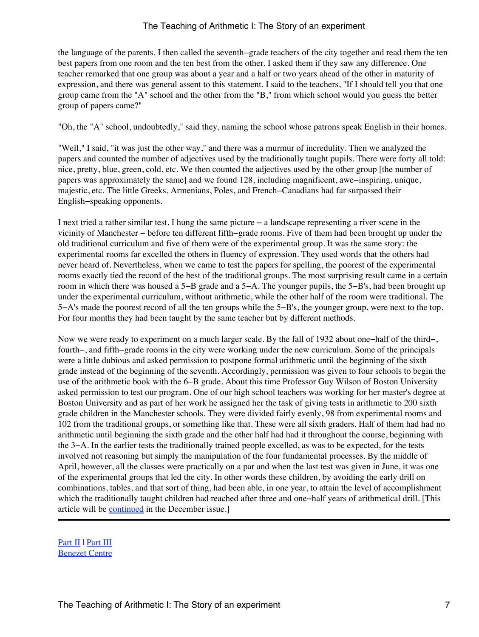the language of the parents. I then called the seventh−grade teachers of the city together and read them the ten best papers from one room and the ten best from the other. I asked them if they saw any difference. One teacher remarked that one group was about a year and a half or two years ahead of the other in maturity of expression, and there was general assent to this statement. I said to the teachers, "If I should tell you that one group came from the "A" school and the other from the "B," from which school would you guess the better group of papers came?"

"Oh, the "A" school, undoubtedly," said they, naming the school whose patrons speak English in their homes.

"Well," I said, "it was just the other way," and there was a murmur of incredulity. Then we analyzed the papers and counted the number of adjectives used by the traditionally taught pupils. There were forty all told: nice, pretty, blue, green, cold, etc. We then counted the adjectives used by the other group [the number of papers was approximately the same] and we found 128, including magnificent, awe−inspiring, unique, majestic, etc. The little Greeks, Armenians, Poles, and French−Canadians had far surpassed their English−speaking opponents.

I next tried a rather similar test. I hung the same picture − a landscape representing a river scene in the vicinity of Manchester − before ten different fifth−grade rooms. Five of them had been brought up under the old traditional curriculum and five of them were of the experimental group. It was the same story: the experimental rooms far excelled the others in fluency of expression. They used words that the others had never heard of. Nevertheless, when we came to test the papers for spelling, the poorest of the experimental rooms exactly tied the record of the best of the traditional groups. The most surprising result came in a certain room in which there was housed a 5−B grade and a 5−A. The younger pupils, the 5−B's, had been brought up under the experimental curriculum, without arithmetic, while the other half of the room were traditional. The 5−A's made the poorest record of all the ten groups while the 5−B's, the younger group, were next to the top. For four months they had been taught by the same teacher but by different methods.

Now we were ready to experiment on a much larger scale. By the fall of 1932 about one−half of the third−, fourth−, and fifth−grade rooms in the city were working under the new curriculum. Some of the principals were a little dubious and asked permission to postpone formal arithmetic until the beginning of the sixth grade instead of the beginning of the seventh. Accordingly, permission was given to four schools to begin the use of the arithmetic book with the 6−B grade. About this time Professor Guy Wilson of Boston University asked permission to test our program. One of our high school teachers was working for her master's degree at Boston University and as part of her work he assigned her the task of giving tests in arithmetic to 200 sixth grade children in the Manchester schools. They were divided fairly evenly, 98 from experimental rooms and 102 from the traditional groups, or something like that. These were all sixth graders. Half of them had had no arithmetic until beginning the sixth grade and the other half had had it throughout the course, beginning with the 3−A. In the earlier tests the traditionally trained people excelled, as was to be expected, for the tests involved not reasoning but simply the manipulation of the four fundamental processes. By the middle of April, however, all the classes were practically on a par and when the last test was given in June, it was one of the experimental groups that led the city. In other words these children, by avoiding the early drill on combinations, tables, and that sort of thing, had been able, in one year, to attain the level of accomplishment which the traditionally taught children had reached after three and one−half years of arithmetical drill. [This article will be [continued](#page-8-1) in the December issue.]

[Part II](#page-8-1) | [Part III](#page-13-0) [Benezet Centre](file://localhost/Users/admin/Downloads/index.html)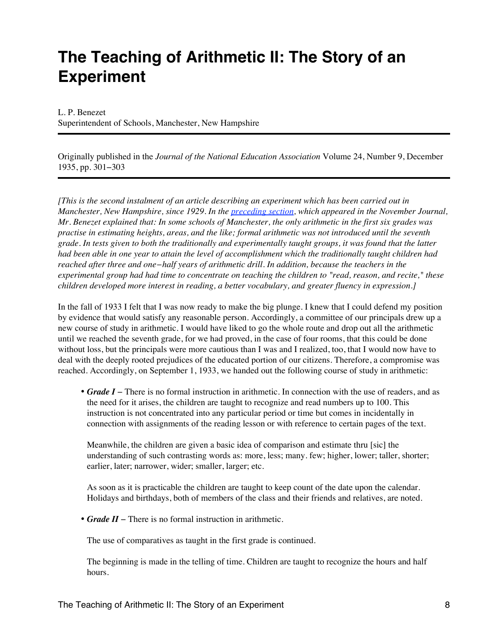#### <span id="page-8-1"></span><span id="page-8-0"></span>L. P. Benezet Superintendent of Schools, Manchester, New Hampshire

Originally published in the *Journal of the National Education Association* Volume 24, Number 9, December 1935, pp. 301−303

*[This is the second instalment of an article describing an experiment which has been carried out in Manchester, New Hampshire, since 1929. In the [preceding section](#page-2-0), which appeared in the November Journal, Mr. Benezet explained that: In some schools of Manchester, the only arithmetic in the first six grades was practise in estimating heights, areas, and the like; formal arithmetic was not introduced until the seventh grade. In tests given to both the traditionally and experimentally taught groups, it was found that the latter had been able in one year to attain the level of accomplishment which the traditionally taught children had reached after three and one−half years of arithmetic drill. In addition, because the teachers in the experimental group had had time to concentrate on teaching the children to "read, reason, and recite," these children developed more interest in reading, a better vocabulary, and greater fluency in expression.]*

In the fall of 1933 I felt that I was now ready to make the big plunge. I knew that I could defend my position by evidence that would satisfy any reasonable person. Accordingly, a committee of our principals drew up a new course of study in arithmetic. I would have liked to go the whole route and drop out all the arithmetic until we reached the seventh grade, for we had proved, in the case of four rooms, that this could be done without loss, but the principals were more cautious than I was and I realized, too, that I would now have to deal with the deeply rooted prejudices of the educated portion of our citizens. Therefore, a compromise was reached. Accordingly, on September 1, 1933, we handed out the following course of study in arithmetic:

• *Grade I* − There is no formal instruction in arithmetic. In connection with the use of readers, and as the need for it arises, the children are taught to recognize and read numbers up to 100. This instruction is not concentrated into any particular period or time but comes in incidentally in connection with assignments of the reading lesson or with reference to certain pages of the text.

Meanwhile, the children are given a basic idea of comparison and estimate thru [sic] the understanding of such contrasting words as: more, less; many. few; higher, lower; taller, shorter; earlier, later; narrower, wider; smaller, larger; etc.

As soon as it is practicable the children are taught to keep count of the date upon the calendar. Holidays and birthdays, both of members of the class and their friends and relatives, are noted.

• *Grade II* – There is no formal instruction in arithmetic.

The use of comparatives as taught in the first grade is continued.

The beginning is made in the telling of time. Children are taught to recognize the hours and half hours.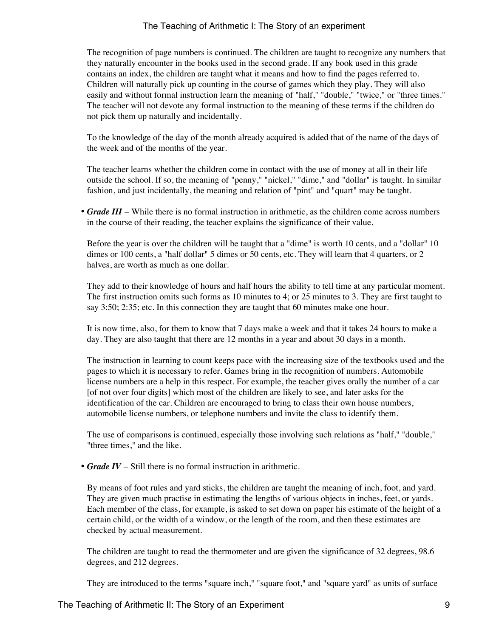The recognition of page numbers is continued. The children are taught to recognize any numbers that they naturally encounter in the books used in the second grade. If any book used in this grade contains an index, the children are taught what it means and how to find the pages referred to. Children will naturally pick up counting in the course of games which they play. They will also easily and without formal instruction learn the meaning of "half," "double," "twice," or "three times." The teacher will not devote any formal instruction to the meaning of these terms if the children do not pick them up naturally and incidentally.

To the knowledge of the day of the month already acquired is added that of the name of the days of the week and of the months of the year.

The teacher learns whether the children come in contact with the use of money at all in their life outside the school. If so, the meaning of "penny," "nickel," "dime," and "dollar" is taught. In similar fashion, and just incidentally, the meaning and relation of "pint" and "quart" may be taught.

• *Grade III* − While there is no formal instruction in arithmetic, as the children come across numbers in the course of their reading, the teacher explains the significance of their value.

Before the year is over the children will be taught that a "dime" is worth 10 cents, and a "dollar" 10 dimes or 100 cents, a "half dollar" 5 dimes or 50 cents, etc. They will learn that 4 quarters, or 2 halves, are worth as much as one dollar.

They add to their knowledge of hours and half hours the ability to tell time at any particular moment. The first instruction omits such forms as 10 minutes to 4; or 25 minutes to 3. They are first taught to say 3:50; 2:35; etc. In this connection they are taught that 60 minutes make one hour.

It is now time, also, for them to know that 7 days make a week and that it takes 24 hours to make a day. They are also taught that there are 12 months in a year and about 30 days in a month.

The instruction in learning to count keeps pace with the increasing size of the textbooks used and the pages to which it is necessary to refer. Games bring in the recognition of numbers. Automobile license numbers are a help in this respect. For example, the teacher gives orally the number of a car [of not over four digits] which most of the children are likely to see, and later asks for the identification of the car. Children are encouraged to bring to class their own house numbers, automobile license numbers, or telephone numbers and invite the class to identify them.

The use of comparisons is continued, especially those involving such relations as "half," "double," "three times," and the like.

• *Grade IV* − Still there is no formal instruction in arithmetic.

By means of foot rules and yard sticks, the children are taught the meaning of inch, foot, and yard. They are given much practise in estimating the lengths of various objects in inches, feet, or yards. Each member of the class, for example, is asked to set down on paper his estimate of the height of a certain child, or the width of a window, or the length of the room, and then these estimates are checked by actual measurement.

The children are taught to read the thermometer and are given the significance of 32 degrees, 98.6 degrees, and 212 degrees.

They are introduced to the terms "square inch," "square foot," and "square yard" as units of surface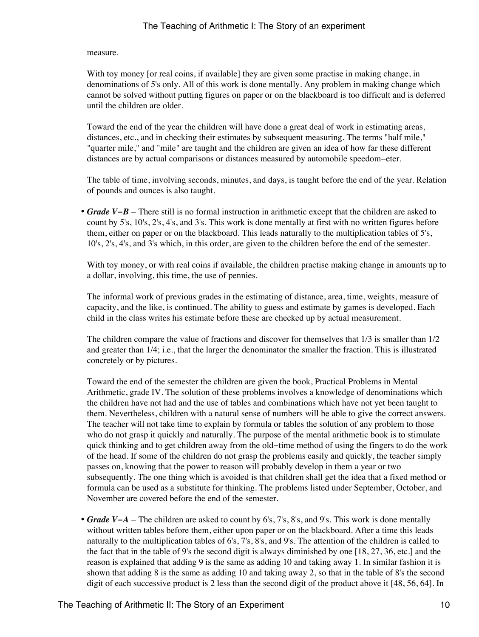#### measure.

With toy money [or real coins, if available] they are given some practise in making change, in denominations of 5's only. All of this work is done mentally. Any problem in making change which cannot be solved without putting figures on paper or on the blackboard is too difficult and is deferred until the children are older.

Toward the end of the year the children will have done a great deal of work in estimating areas, distances, etc., and in checking their estimates by subsequent measuring. The terms "half mile," "quarter mile," and "mile" are taught and the children are given an idea of how far these different distances are by actual comparisons or distances measured by automobile speedom−eter.

The table of time, involving seconds, minutes, and days, is taught before the end of the year. Relation of pounds and ounces is also taught.

• *Grade V−B* − There still is no formal instruction in arithmetic except that the children are asked to count by 5's, 10's, 2's, 4's, and 3's. This work is done mentally at first with no written figures before them, either on paper or on the blackboard. This leads naturally to the multiplication tables of 5's, 10's, 2's, 4's, and 3's which, in this order, are given to the children before the end of the semester.

With toy money, or with real coins if available, the children practise making change in amounts up to a dollar, involving, this time, the use of pennies.

The informal work of previous grades in the estimating of distance, area, time, weights, measure of capacity, and the like, is continued. The ability to guess and estimate by games is developed. Each child in the class writes his estimate before these are checked up by actual measurement.

The children compare the value of fractions and discover for themselves that 1/3 is smaller than 1/2 and greater than 1/4; i.e., that the larger the denominator the smaller the fraction. This is illustrated concretely or by pictures.

Toward the end of the semester the children are given the book, Practical Problems in Mental Arithmetic, grade IV. The solution of these problems involves a knowledge of denominations which the children have not had and the use of tables and combinations which have not yet been taught to them. Nevertheless, children with a natural sense of numbers will be able to give the correct answers. The teacher will not take time to explain by formula or tables the solution of any problem to those who do not grasp it quickly and naturally. The purpose of the mental arithmetic book is to stimulate quick thinking and to get children away from the old−time method of using the fingers to do the work of the head. If some of the children do not grasp the problems easily and quickly, the teacher simply passes on, knowing that the power to reason will probably develop in them a year or two subsequently. The one thing which is avoided is that children shall get the idea that a fixed method or formula can be used as a substitute for thinking. The problems listed under September, October, and November are covered before the end of the semester.

• *Grade V−A* − The children are asked to count by 6's, 7's, 8's, and 9's. This work is done mentally without written tables before them, either upon paper or on the blackboard. After a time this leads naturally to the multiplication tables of 6's, 7's, 8's, and 9's. The attention of the children is called to the fact that in the table of 9's the second digit is always diminished by one [18, 27, 36, etc.] and the reason is explained that adding 9 is the same as adding 10 and taking away 1. In similar fashion it is shown that adding 8 is the same as adding 10 and taking away 2, so that in the table of 8's the second digit of each successive product is 2 less than the second digit of the product above it [48, 56, 64]. In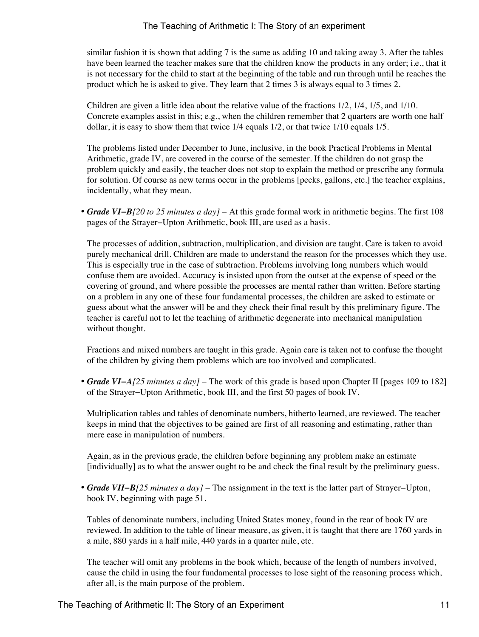similar fashion it is shown that adding 7 is the same as adding 10 and taking away 3. After the tables have been learned the teacher makes sure that the children know the products in any order; i.e., that it is not necessary for the child to start at the beginning of the table and run through until he reaches the product which he is asked to give. They learn that 2 times 3 is always equal to 3 times 2.

Children are given a little idea about the relative value of the fractions 1/2, 1/4, 1/5, and 1/10. Concrete examples assist in this; e.g., when the children remember that 2 quarters are worth one half dollar, it is easy to show them that twice 1/4 equals 1/2, or that twice 1/10 equals 1/5.

The problems listed under December to June, inclusive, in the book Practical Problems in Mental Arithmetic, grade IV, are covered in the course of the semester. If the children do not grasp the problem quickly and easily, the teacher does not stop to explain the method or prescribe any formula for solution. Of course as new terms occur in the problems [pecks, gallons, etc.] the teacher explains, incidentally, what they mean.

• *Grade VI−B[20 to 25 minutes a day]* − At this grade formal work in arithmetic begins. The first 108 pages of the Strayer−Upton Arithmetic, book III, are used as a basis.

The processes of addition, subtraction, multiplication, and division are taught. Care is taken to avoid purely mechanical drill. Children are made to understand the reason for the processes which they use. This is especially true in the case of subtraction. Problems involving long numbers which would confuse them are avoided. Accuracy is insisted upon from the outset at the expense of speed or the covering of ground, and where possible the processes are mental rather than written. Before starting on a problem in any one of these four fundamental processes, the children are asked to estimate or guess about what the answer will be and they check their final result by this preliminary figure. The teacher is careful not to let the teaching of arithmetic degenerate into mechanical manipulation without thought.

Fractions and mixed numbers are taught in this grade. Again care is taken not to confuse the thought of the children by giving them problems which are too involved and complicated.

• *Grade VI−A[25 minutes a day]* − The work of this grade is based upon Chapter II [pages 109 to 182] of the Strayer−Upton Arithmetic, book III, and the first 50 pages of book IV.

Multiplication tables and tables of denominate numbers, hitherto learned, are reviewed. The teacher keeps in mind that the objectives to be gained are first of all reasoning and estimating, rather than mere ease in manipulation of numbers.

Again, as in the previous grade, the children before beginning any problem make an estimate [individually] as to what the answer ought to be and check the final result by the preliminary guess.

• *Grade VII−B[25 minutes a day]* − The assignment in the text is the latter part of Strayer−Upton, book IV, beginning with page 51.

Tables of denominate numbers, including United States money, found in the rear of book IV are reviewed. In addition to the table of linear measure, as given, it is taught that there are 1760 yards in a mile, 880 yards in a half mile, 440 yards in a quarter mile, etc.

The teacher will omit any problems in the book which, because of the length of numbers involved, cause the child in using the four fundamental processes to lose sight of the reasoning process which, after all, is the main purpose of the problem.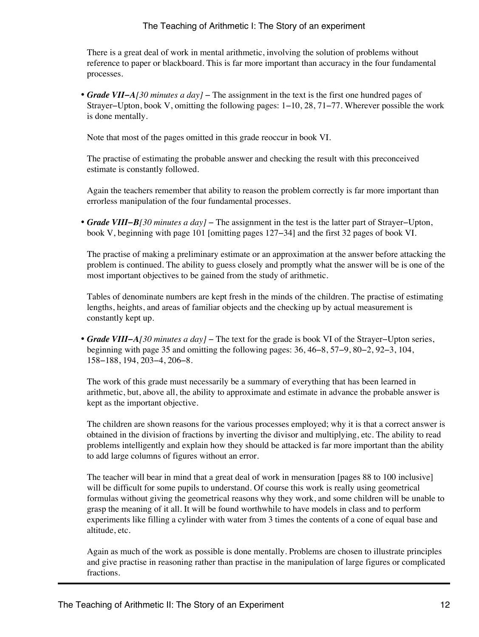There is a great deal of work in mental arithmetic, involving the solution of problems without reference to paper or blackboard. This is far more important than accuracy in the four fundamental processes.

• *Grade VII−A[30 minutes a day]* − The assignment in the text is the first one hundred pages of Strayer−Upton, book V, omitting the following pages: 1−10, 28, 71−77. Wherever possible the work is done mentally.

Note that most of the pages omitted in this grade reoccur in book VI.

The practise of estimating the probable answer and checking the result with this preconceived estimate is constantly followed.

Again the teachers remember that ability to reason the problem correctly is far more important than errorless manipulation of the four fundamental processes.

• *Grade VIII−B[30 minutes a day]* − The assignment in the test is the latter part of Strayer−Upton, book V, beginning with page 101 [omitting pages 127−34] and the first 32 pages of book VI.

The practise of making a preliminary estimate or an approximation at the answer before attacking the problem is continued. The ability to guess closely and promptly what the answer will be is one of the most important objectives to be gained from the study of arithmetic.

Tables of denominate numbers are kept fresh in the minds of the children. The practise of estimating lengths, heights, and areas of familiar objects and the checking up by actual measurement is constantly kept up.

• *Grade VIII−A[30 minutes a day]* − The text for the grade is book VI of the Strayer−Upton series, beginning with page 35 and omitting the following pages: 36, 46−8, 57−9, 80−2, 92−3, 104, 158−188, 194, 203−4, 206−8.

The work of this grade must necessarily be a summary of everything that has been learned in arithmetic, but, above all, the ability to approximate and estimate in advance the probable answer is kept as the important objective.

The children are shown reasons for the various processes employed; why it is that a correct answer is obtained in the division of fractions by inverting the divisor and multiplying, etc. The ability to read problems intelligently and explain how they should be attacked is far more important than the ability to add large columns of figures without an error.

The teacher will bear in mind that a great deal of work in mensuration [pages 88 to 100 inclusive] will be difficult for some pupils to understand. Of course this work is really using geometrical formulas without giving the geometrical reasons why they work, and some children will be unable to grasp the meaning of it all. It will be found worthwhile to have models in class and to perform experiments like filling a cylinder with water from 3 times the contents of a cone of equal base and altitude, etc.

Again as much of the work as possible is done mentally. Problems are chosen to illustrate principles and give practise in reasoning rather than practise in the manipulation of large figures or complicated fractions.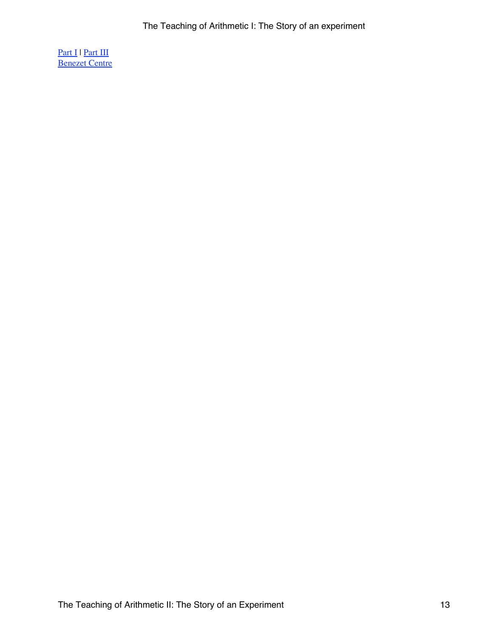<span id="page-13-0"></span><u>[Part I](#page-2-0)</u> | <u>[Part III](#page-13-0)</u> [Benezet Centre](file://localhost/Users/admin/Downloads/index.html)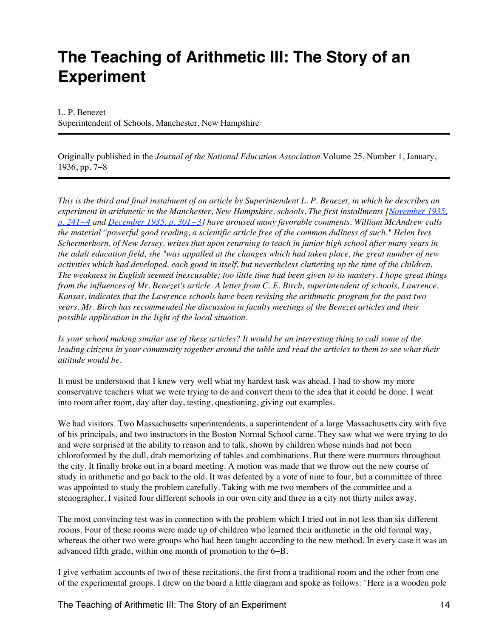#### <span id="page-14-0"></span>L. P. Benezet

Superintendent of Schools, Manchester, New Hampshire

Originally published in the *Journal of the National Education Association* Volume 25, Number 1, January, 1936, pp. 7−8

*This is the third and final instalment of an article by Superintendent L. P. Benezet, in which he describes an experiment in arithmetic in the Manchester, New Hampshire, schools. The first installments [[November 1935,](#page-2-0) [p. 241](#page-2-0)−4 and [December 1935, p. 301](#page-8-1)−3] have aroused many favorable comments. William McAndrew calls the material "powerful good reading, a scientific article free of the common dullness of such." Helen Ives Schermerhorn, of New Jersey, writes that upon returning to teach in junior high school after many years in the adult education field, she "was appalled at the changes which had taken place, the great number of new activities which had developed, each good in itself, but nevertheless cluttering up the time of the children. The weakness in English seemed inexcusable; too little time had been given to its mastery. I hope great things from the influences of Mr. Benezet's article. A letter from C. E. Birch, superintendent of schools, Lawrence, Kansas, indicates that the Lawrence schools have been revising the arithmetic program for the past two years. Mr. Birch has recommended the discussion in faculty meetings of the Benezet articles and their possible application in the light of the local situation.*

*Is your school making similar use of these articles? It would be an interesting thing to call some of the leading citizens in your community together around the table and read the articles to them to see what their attitude would be.*

It must be understood that I knew very well what my hardest task was ahead. I had to show my more conservative teachers what we were trying to do and convert them to the idea that it could be done. I went into room after room, day after day, testing, questioning, giving out examples.

We had visitors. Two Massachusetts superintendents, a superintendent of a large Massachusetts city with five of his principals, and two instructors in the Boston Normal School came. They saw what we were trying to do and were surprised at the ability to reason and to talk, shown by children whose minds had not been chloroformed by the dull, drab memorizing of tables and combinations. But there were murmurs throughout the city. It finally broke out in a board meeting. A motion was made that we throw out the new course of study in arithmetic and go back to the old. It was defeated by a vote of nine to four, but a committee of three was appointed to study the problem carefully. Taking with me two members of the committee and a stenographer, I visited four different schools in our own city and three in a city not thirty miles away.

The most convincing test was in connection with the problem which I tried out in not less than six different rooms. Four of these rooms were made up of children who learned their arithmetic in the old formal way, whereas the other two were groups who had been taught according to the new method. In every case it was an advanced fifth grade, within one month of promotion to the 6−B.

I give verbatim accounts of two of these recitations, the first from a traditional room and the other from one of the experimental groups. I drew on the board a little diagram and spoke as follows: "Here is a wooden pole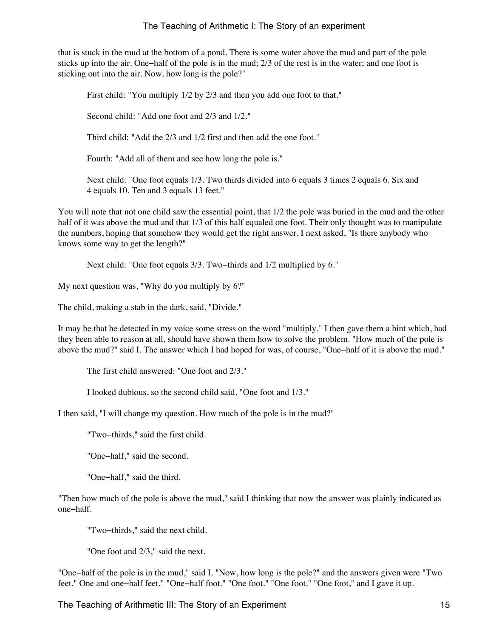that is stuck in the mud at the bottom of a pond. There is some water above the mud and part of the pole sticks up into the air. One−half of the pole is in the mud; 2/3 of the rest is in the water; and one foot is sticking out into the air. Now, how long is the pole?"

First child: "You multiply  $1/2$  by  $2/3$  and then you add one foot to that."

Second child: "Add one foot and 2/3 and 1/2."

Third child: "Add the 2/3 and 1/2 first and then add the one foot."

Fourth: "Add all of them and see how long the pole is."

Next child: "One foot equals 1/3. Two thirds divided into 6 equals 3 times 2 equals 6. Six and 4 equals 10. Ten and 3 equals 13 feet."

You will note that not one child saw the essential point, that  $1/2$  the pole was buried in the mud and the other half of it was above the mud and that 1/3 of this half equaled one foot. Their only thought was to manipulate the numbers, hoping that somehow they would get the right answer. I next asked, "Is there anybody who knows some way to get the length?"

Next child: "One foot equals 3/3. Two−thirds and 1/2 multiplied by 6."

My next question was, "Why do you multiply by 6?"

The child, making a stab in the dark, said, "Divide."

It may be that he detected in my voice some stress on the word "multiply." I then gave them a hint which, had they been able to reason at all, should have shown them how to solve the problem. "How much of the pole is above the mud?" said I. The answer which I had hoped for was, of course, "One−half of it is above the mud."

The first child answered: "One foot and 2/3."

I looked dubious, so the second child said, "One foot and 1/3."

I then said, "I will change my question. How much of the pole is in the mud?"

"Two−thirds," said the first child.

"One−half," said the second.

"One−half," said the third.

"Then how much of the pole is above the mud," said I thinking that now the answer was plainly indicated as one−half.

"Two−thirds," said the next child.

"One foot and 2/3," said the next.

"One−half of the pole is in the mud," said I. "Now, how long is the pole?" and the answers given were "Two feet." One and one−half feet." "One−half foot." "One foot." "One foot." "One foot," and I gave it up.

The Teaching of Arithmetic III: The Story of an Experiment 15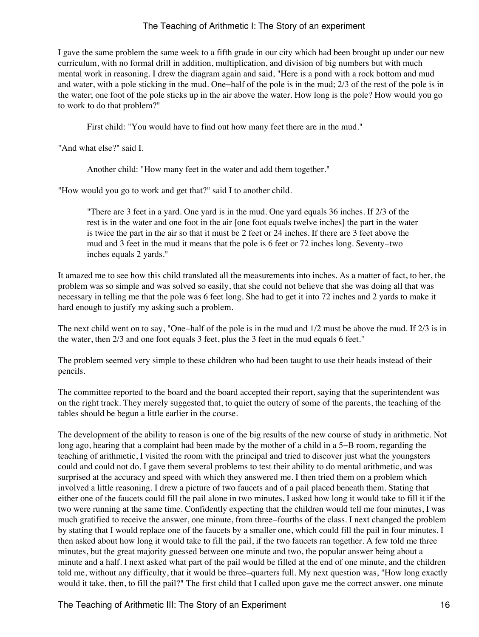I gave the same problem the same week to a fifth grade in our city which had been brought up under our new curriculum, with no formal drill in addition, multiplication, and division of big numbers but with much mental work in reasoning. I drew the diagram again and said, "Here is a pond with a rock bottom and mud and water, with a pole sticking in the mud. One−half of the pole is in the mud; 2/3 of the rest of the pole is in the water; one foot of the pole sticks up in the air above the water. How long is the pole? How would you go to work to do that problem?"

First child: "You would have to find out how many feet there are in the mud."

"And what else?" said I.

Another child: "How many feet in the water and add them together."

"How would you go to work and get that?" said I to another child.

"There are 3 feet in a yard. One yard is in the mud. One yard equals 36 inches. If 2/3 of the rest is in the water and one foot in the air [one foot equals twelve inches] the part in the water is twice the part in the air so that it must be 2 feet or 24 inches. If there are 3 feet above the mud and 3 feet in the mud it means that the pole is 6 feet or 72 inches long. Seventy−two inches equals 2 yards."

It amazed me to see how this child translated all the measurements into inches. As a matter of fact, to her, the problem was so simple and was solved so easily, that she could not believe that she was doing all that was necessary in telling me that the pole was 6 feet long. She had to get it into 72 inches and 2 yards to make it hard enough to justify my asking such a problem.

The next child went on to say, "One−half of the pole is in the mud and 1/2 must be above the mud. If 2/3 is in the water, then 2/3 and one foot equals 3 feet, plus the 3 feet in the mud equals 6 feet."

The problem seemed very simple to these children who had been taught to use their heads instead of their pencils.

The committee reported to the board and the board accepted their report, saying that the superintendent was on the right track. They merely suggested that, to quiet the outcry of some of the parents, the teaching of the tables should be begun a little earlier in the course.

The development of the ability to reason is one of the big results of the new course of study in arithmetic. Not long ago, hearing that a complaint had been made by the mother of a child in a 5−B room, regarding the teaching of arithmetic, I visited the room with the principal and tried to discover just what the youngsters could and could not do. I gave them several problems to test their ability to do mental arithmetic, and was surprised at the accuracy and speed with which they answered me. I then tried them on a problem which involved a little reasoning. I drew a picture of two faucets and of a pail placed beneath them. Stating that either one of the faucets could fill the pail alone in two minutes, I asked how long it would take to fill it if the two were running at the same time. Confidently expecting that the children would tell me four minutes, I was much gratified to receive the answer, one minute, from three−fourths of the class. I next changed the problem by stating that I would replace one of the faucets by a smaller one, which could fill the pail in four minutes. I then asked about how long it would take to fill the pail, if the two faucets ran together. A few told me three minutes, but the great majority guessed between one minute and two, the popular answer being about a minute and a half. I next asked what part of the pail would be filled at the end of one minute, and the children told me, without any difficulty, that it would be three−quarters full. My next question was, "How long exactly would it take, then, to fill the pail?" The first child that I called upon gave me the correct answer, one minute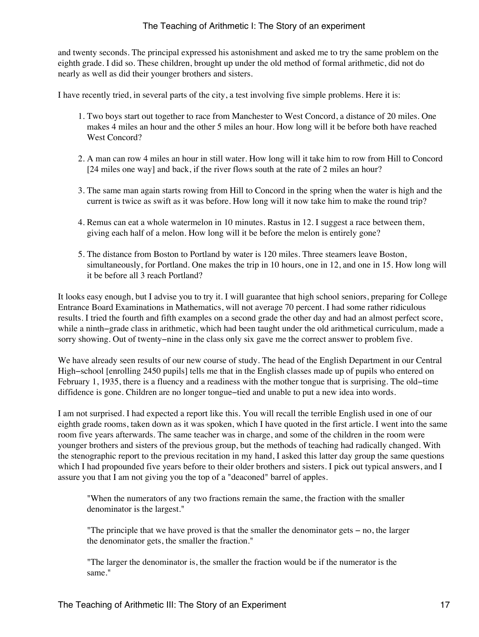and twenty seconds. The principal expressed his astonishment and asked me to try the same problem on the eighth grade. I did so. These children, brought up under the old method of formal arithmetic, did not do nearly as well as did their younger brothers and sisters.

I have recently tried, in several parts of the city, a test involving five simple problems. Here it is:

- 1. Two boys start out together to race from Manchester to West Concord, a distance of 20 miles. One makes 4 miles an hour and the other 5 miles an hour. How long will it be before both have reached West Concord?
- 2. A man can row 4 miles an hour in still water. How long will it take him to row from Hill to Concord [24 miles one way] and back, if the river flows south at the rate of 2 miles an hour?
- 3. The same man again starts rowing from Hill to Concord in the spring when the water is high and the current is twice as swift as it was before. How long will it now take him to make the round trip?
- 4. Remus can eat a whole watermelon in 10 minutes. Rastus in 12. I suggest a race between them, giving each half of a melon. How long will it be before the melon is entirely gone?
- 5. The distance from Boston to Portland by water is 120 miles. Three steamers leave Boston, simultaneously, for Portland. One makes the trip in 10 hours, one in 12, and one in 15. How long will it be before all 3 reach Portland?

It looks easy enough, but I advise you to try it. I will guarantee that high school seniors, preparing for College Entrance Board Examinations in Mathematics, will not average 70 percent. I had some rather ridiculous results. I tried the fourth and fifth examples on a second grade the other day and had an almost perfect score, while a ninth−grade class in arithmetic, which had been taught under the old arithmetical curriculum, made a sorry showing. Out of twenty−nine in the class only six gave me the correct answer to problem five.

We have already seen results of our new course of study. The head of the English Department in our Central High−school [enrolling 2450 pupils] tells me that in the English classes made up of pupils who entered on February 1, 1935, there is a fluency and a readiness with the mother tongue that is surprising. The old−time diffidence is gone. Children are no longer tongue−tied and unable to put a new idea into words.

I am not surprised. I had expected a report like this. You will recall the terrible English used in one of our eighth grade rooms, taken down as it was spoken, which I have quoted in the first article. I went into the same room five years afterwards. The same teacher was in charge, and some of the children in the room were younger brothers and sisters of the previous group, but the methods of teaching had radically changed. With the stenographic report to the previous recitation in my hand, I asked this latter day group the same questions which I had propounded five years before to their older brothers and sisters. I pick out typical answers, and I assure you that I am not giving you the top of a "deaconed" barrel of apples.

"When the numerators of any two fractions remain the same, the fraction with the smaller denominator is the largest."

"The principle that we have proved is that the smaller the denominator gets − no, the larger the denominator gets, the smaller the fraction."

"The larger the denominator is, the smaller the fraction would be if the numerator is the same."